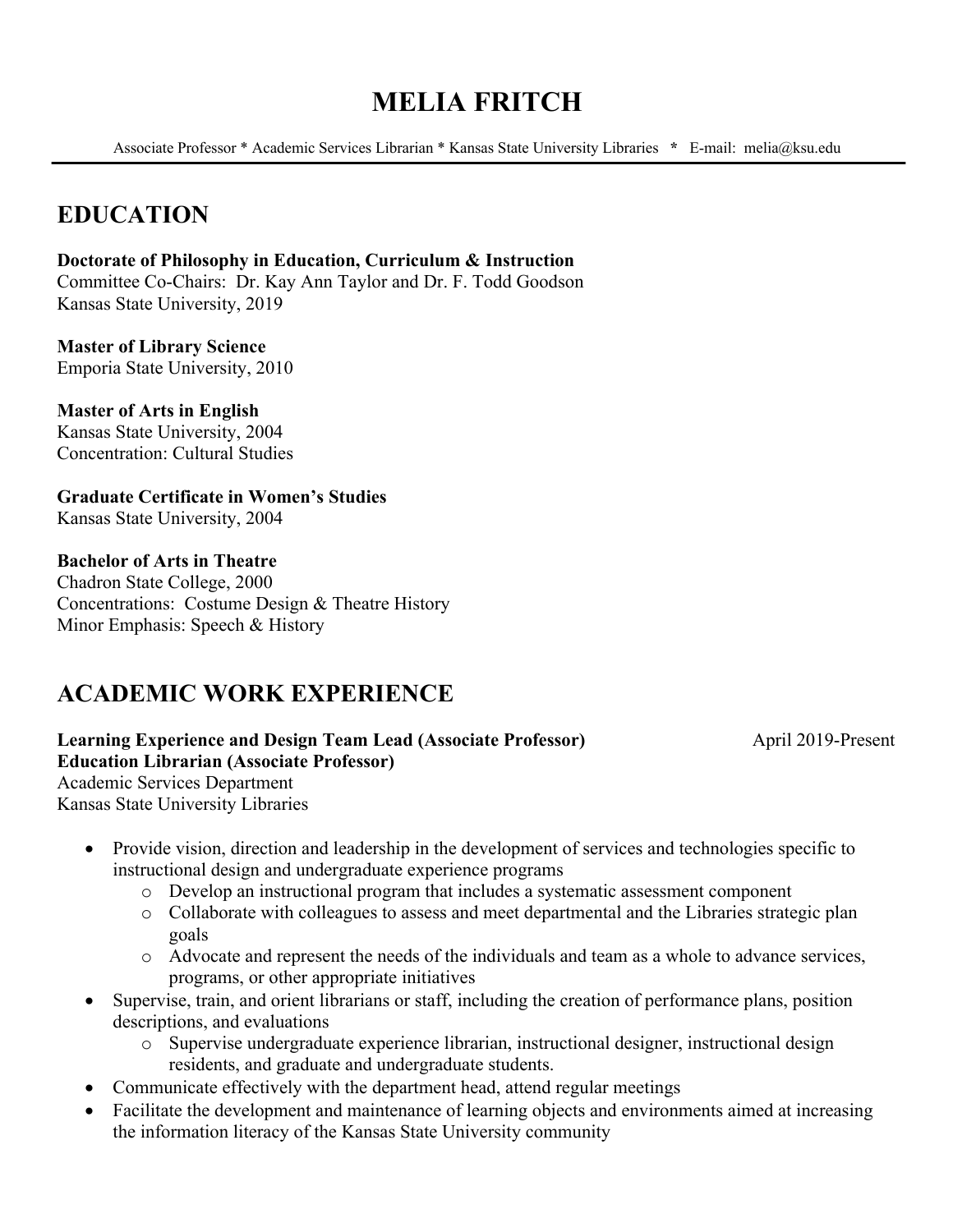# **MELIA FRITCH**

Associate Professor \* Academic Services Librarian \* Kansas State University Libraries **\*** E-mail: melia@ksu.edu

## **EDUCATION**

**Doctorate of Philosophy in Education, Curriculum & Instruction** Committee Co-Chairs: Dr. Kay Ann Taylor and Dr. F. Todd Goodson Kansas State University, 2019

**Master of Library Science** Emporia State University, 2010

**Master of Arts in English** Kansas State University, 2004 Concentration: Cultural Studies

**Graduate Certificate in Women's Studies** Kansas State University, 2004

#### **Bachelor of Arts in Theatre**

Chadron State College, 2000 Concentrations: Costume Design & Theatre History Minor Emphasis: Speech & History

## **ACADEMIC WORK EXPERIENCE**

**Learning Experience and Design Team Lead (Associate Professor)** April 2019-Present **Education Librarian (Associate Professor)** Academic Services Department Kansas State University Libraries

- Provide vision, direction and leadership in the development of services and technologies specific to instructional design and undergraduate experience programs
	- o Develop an instructional program that includes a systematic assessment component
	- o Collaborate with colleagues to assess and meet departmental and the Libraries strategic plan goals
	- o Advocate and represent the needs of the individuals and team as a whole to advance services, programs, or other appropriate initiatives
- Supervise, train, and orient librarians or staff, including the creation of performance plans, position descriptions, and evaluations
	- o Supervise undergraduate experience librarian, instructional designer, instructional design residents, and graduate and undergraduate students.
- Communicate effectively with the department head, attend regular meetings
- Facilitate the development and maintenance of learning objects and environments aimed at increasing the information literacy of the Kansas State University community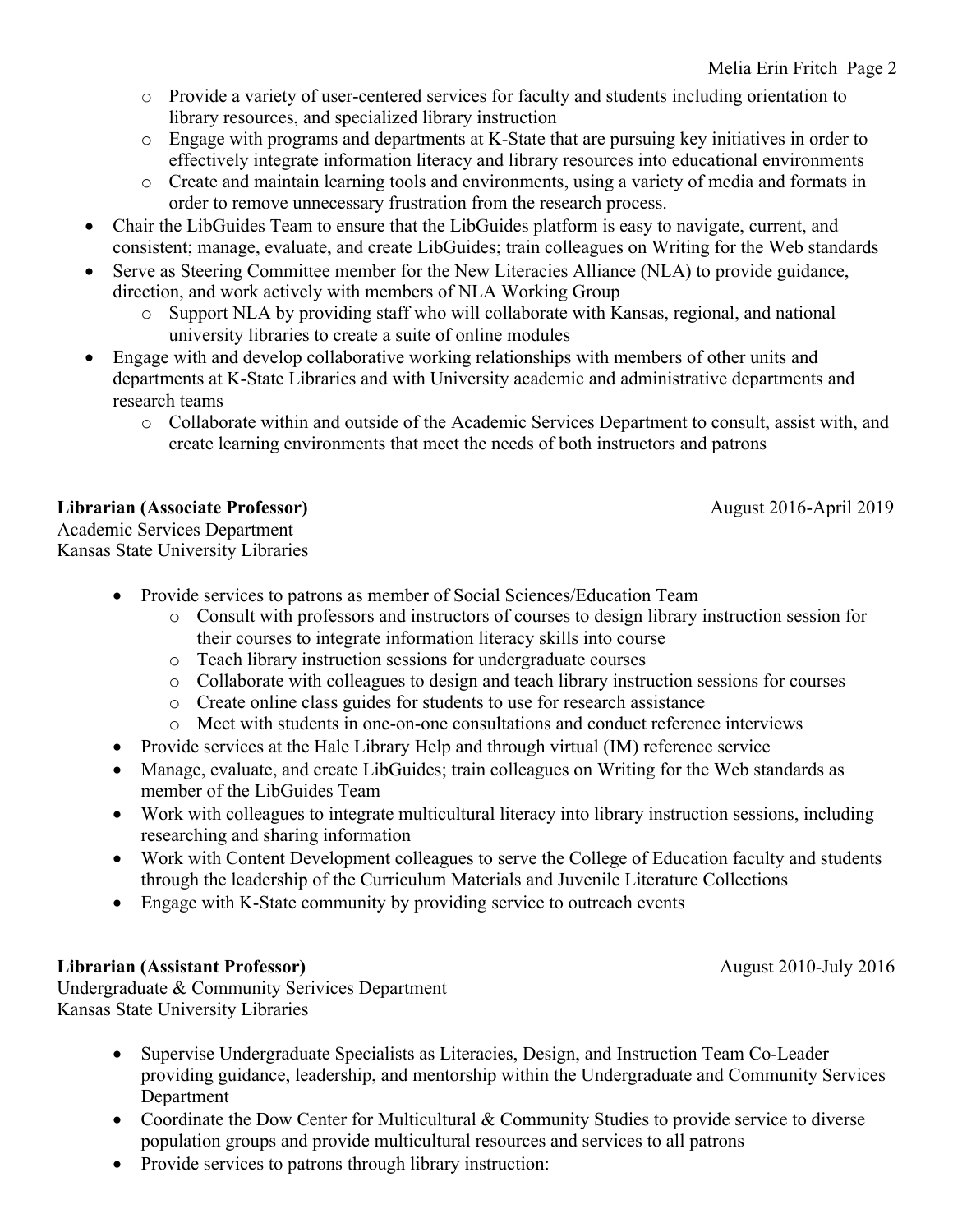- o Provide a variety of user-centered services for faculty and students including orientation to library resources, and specialized library instruction
- o Engage with programs and departments at K-State that are pursuing key initiatives in order to effectively integrate information literacy and library resources into educational environments
- o Create and maintain learning tools and environments, using a variety of media and formats in order to remove unnecessary frustration from the research process.
- Chair the LibGuides Team to ensure that the LibGuides platform is easy to navigate, current, and consistent; manage, evaluate, and create LibGuides; train colleagues on Writing for the Web standards
- Serve as Steering Committee member for the New Literacies Alliance (NLA) to provide guidance, direction, and work actively with members of NLA Working Group
	- o Support NLA by providing staff who will collaborate with Kansas, regional, and national university libraries to create a suite of online modules
- Engage with and develop collaborative working relationships with members of other units and departments at K-State Libraries and with University academic and administrative departments and research teams
	- o Collaborate within and outside of the Academic Services Department to consult, assist with, and create learning environments that meet the needs of both instructors and patrons

## **Librarian (Associate Professor)** August 2016-April 2019

Academic Services Department Kansas State University Libraries

- Provide services to patrons as member of Social Sciences/Education Team
	- o Consult with professors and instructors of courses to design library instruction session for their courses to integrate information literacy skills into course
	- o Teach library instruction sessions for undergraduate courses
	- o Collaborate with colleagues to design and teach library instruction sessions for courses
	- o Create online class guides for students to use for research assistance
	- o Meet with students in one-on-one consultations and conduct reference interviews
- Provide services at the Hale Library Help and through virtual (IM) reference service
- Manage, evaluate, and create LibGuides; train colleagues on Writing for the Web standards as member of the LibGuides Team
- Work with colleagues to integrate multicultural literacy into library instruction sessions, including researching and sharing information
- Work with Content Development colleagues to serve the College of Education faculty and students through the leadership of the Curriculum Materials and Juvenile Literature Collections
- Engage with K-State community by providing service to outreach events

## **Librarian (Assistant Professor) August 2010-July 2016**

Undergraduate & Community Serivices Department Kansas State University Libraries

- Supervise Undergraduate Specialists as Literacies, Design, and Instruction Team Co-Leader providing guidance, leadership, and mentorship within the Undergraduate and Community Services Department
- Coordinate the Dow Center for Multicultural & Community Studies to provide service to diverse population groups and provide multicultural resources and services to all patrons
- Provide services to patrons through library instruction: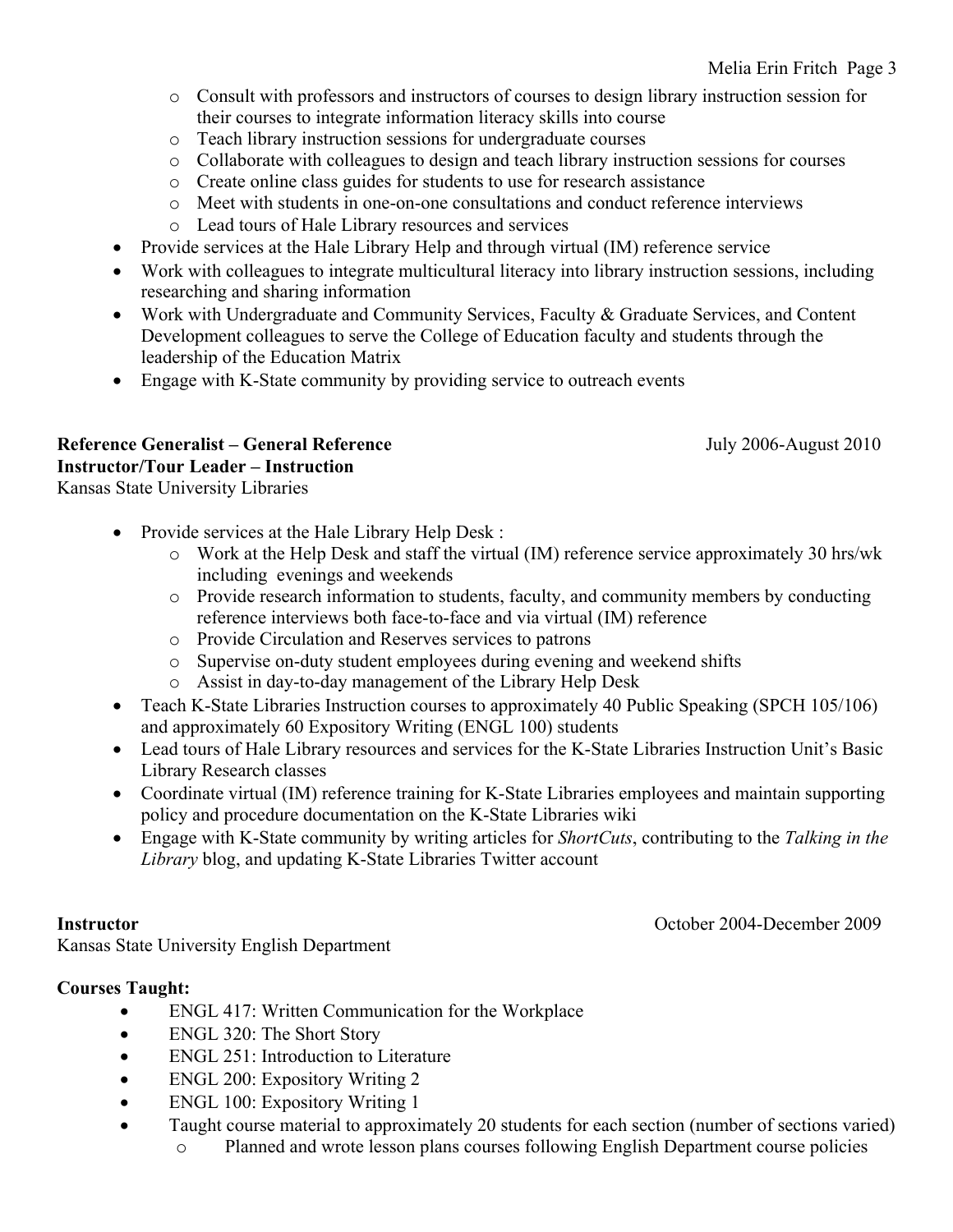- o Consult with professors and instructors of courses to design library instruction session for their courses to integrate information literacy skills into course
- o Teach library instruction sessions for undergraduate courses
- o Collaborate with colleagues to design and teach library instruction sessions for courses
- o Create online class guides for students to use for research assistance
- o Meet with students in one-on-one consultations and conduct reference interviews
- o Lead tours of Hale Library resources and services
- Provide services at the Hale Library Help and through virtual (IM) reference service
- Work with colleagues to integrate multicultural literacy into library instruction sessions, including researching and sharing information
- Work with Undergraduate and Community Services, Faculty & Graduate Services, and Content Development colleagues to serve the College of Education faculty and students through the leadership of the Education Matrix
- Engage with K-State community by providing service to outreach events

#### **Reference Generalist – General Reference** July 2006-August 2010 **Instructor/Tour Leader – Instruction**

Kansas State University Libraries

- Provide services at the Hale Library Help Desk :
	- o Work at the Help Desk and staff the virtual (IM) reference service approximately 30 hrs/wk including evenings and weekends
	- o Provide research information to students, faculty, and community members by conducting reference interviews both face-to-face and via virtual (IM) reference
	- o Provide Circulation and Reserves services to patrons
	- o Supervise on-duty student employees during evening and weekend shifts
	- o Assist in day-to-day management of the Library Help Desk
- Teach K-State Libraries Instruction courses to approximately 40 Public Speaking (SPCH 105/106) and approximately 60 Expository Writing (ENGL 100) students
- Lead tours of Hale Library resources and services for the K-State Libraries Instruction Unit's Basic Library Research classes
- Coordinate virtual (IM) reference training for K-State Libraries employees and maintain supporting policy and procedure documentation on the K-State Libraries wiki
- Engage with K-State community by writing articles for *ShortCuts*, contributing to the *Talking in the Library* blog, and updating K-State Libraries Twitter account

**Instructor** October 2004-December 2009

Kansas State University English Department

### **Courses Taught:**

- ENGL 417: Written Communication for the Workplace
- ENGL 320: The Short Story
- ENGL 251: Introduction to Literature
- ENGL 200: Expository Writing 2
- ENGL 100: Expository Writing 1
- Taught course material to approximately 20 students for each section (number of sections varied) o Planned and wrote lesson plans courses following English Department course policies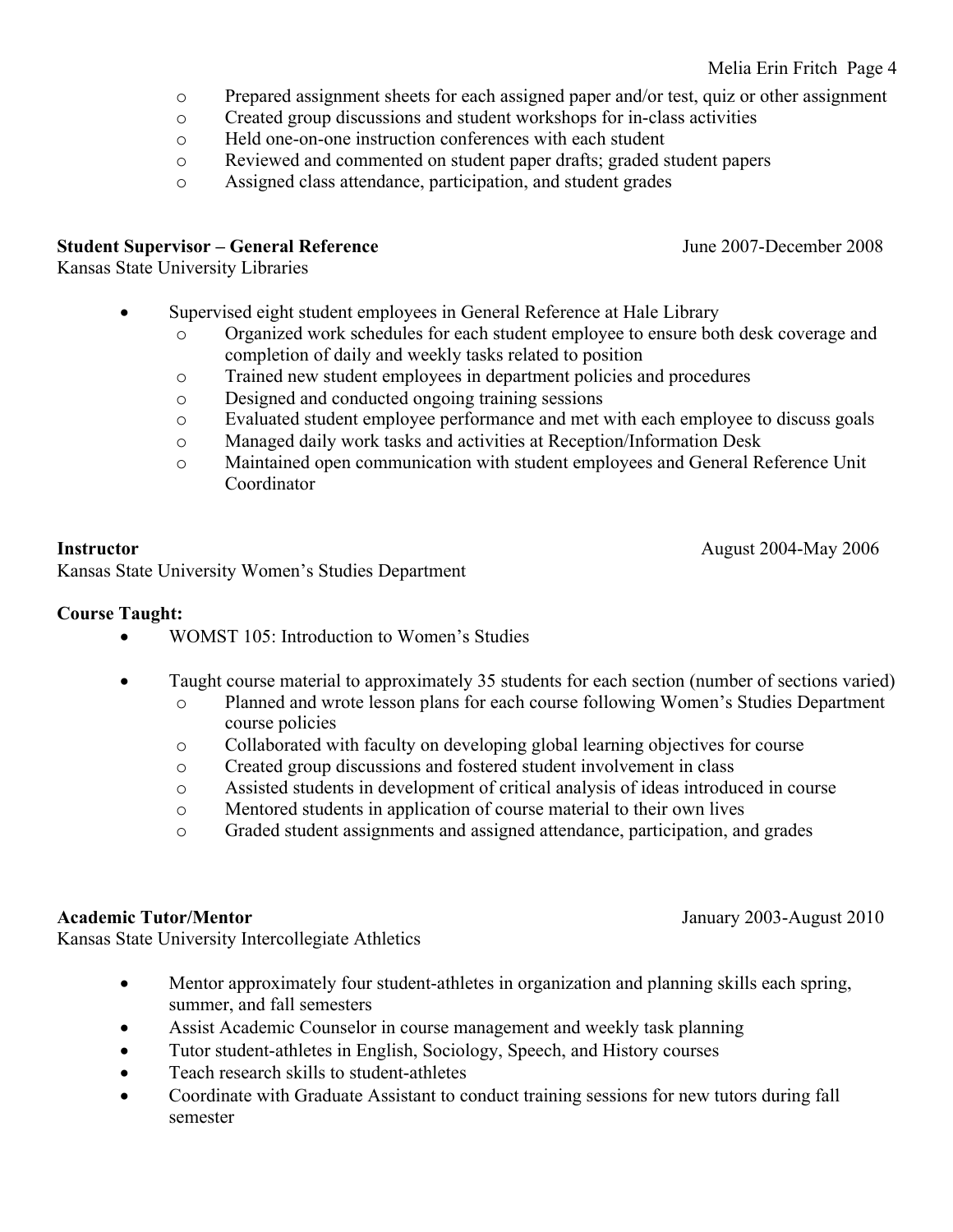### Melia Erin Fritch Page 4

- o Prepared assignment sheets for each assigned paper and/or test, quiz or other assignment
- o Created group discussions and student workshops for in-class activities
- o Held one-on-one instruction conferences with each student
- o Reviewed and commented on student paper drafts; graded student papers
- o Assigned class attendance, participation, and student grades

### **Student Supervisor – General Reference** June 2007-December 2008

Kansas State University Libraries

- Supervised eight student employees in General Reference at Hale Library
	- o Organized work schedules for each student employee to ensure both desk coverage and completion of daily and weekly tasks related to position
	- o Trained new student employees in department policies and procedures
	- o Designed and conducted ongoing training sessions
	- o Evaluated student employee performance and met with each employee to discuss goals
	- o Managed daily work tasks and activities at Reception/Information Desk
	- o Maintained open communication with student employees and General Reference Unit Coordinator

Kansas State University Women's Studies Department

### **Course Taught:**

- WOMST 105: Introduction to Women's Studies
- Taught course material to approximately 35 students for each section (number of sections varied)
	- o Planned and wrote lesson plans for each course following Women's Studies Department course policies
	- o Collaborated with faculty on developing global learning objectives for course
	- o Created group discussions and fostered student involvement in class
	- o Assisted students in development of critical analysis of ideas introduced in course
	- o Mentored students in application of course material to their own lives
	- o Graded student assignments and assigned attendance, participation, and grades

**Academic Tutor/Mentor** January 2003-August 2010

Kansas State University Intercollegiate Athletics

- Mentor approximately four student-athletes in organization and planning skills each spring, summer, and fall semesters
- Assist Academic Counselor in course management and weekly task planning
- Tutor student-athletes in English, Sociology, Speech, and History courses
- Teach research skills to student-athletes
- Coordinate with Graduate Assistant to conduct training sessions for new tutors during fall semester

**Instructor** August 2004-May 2006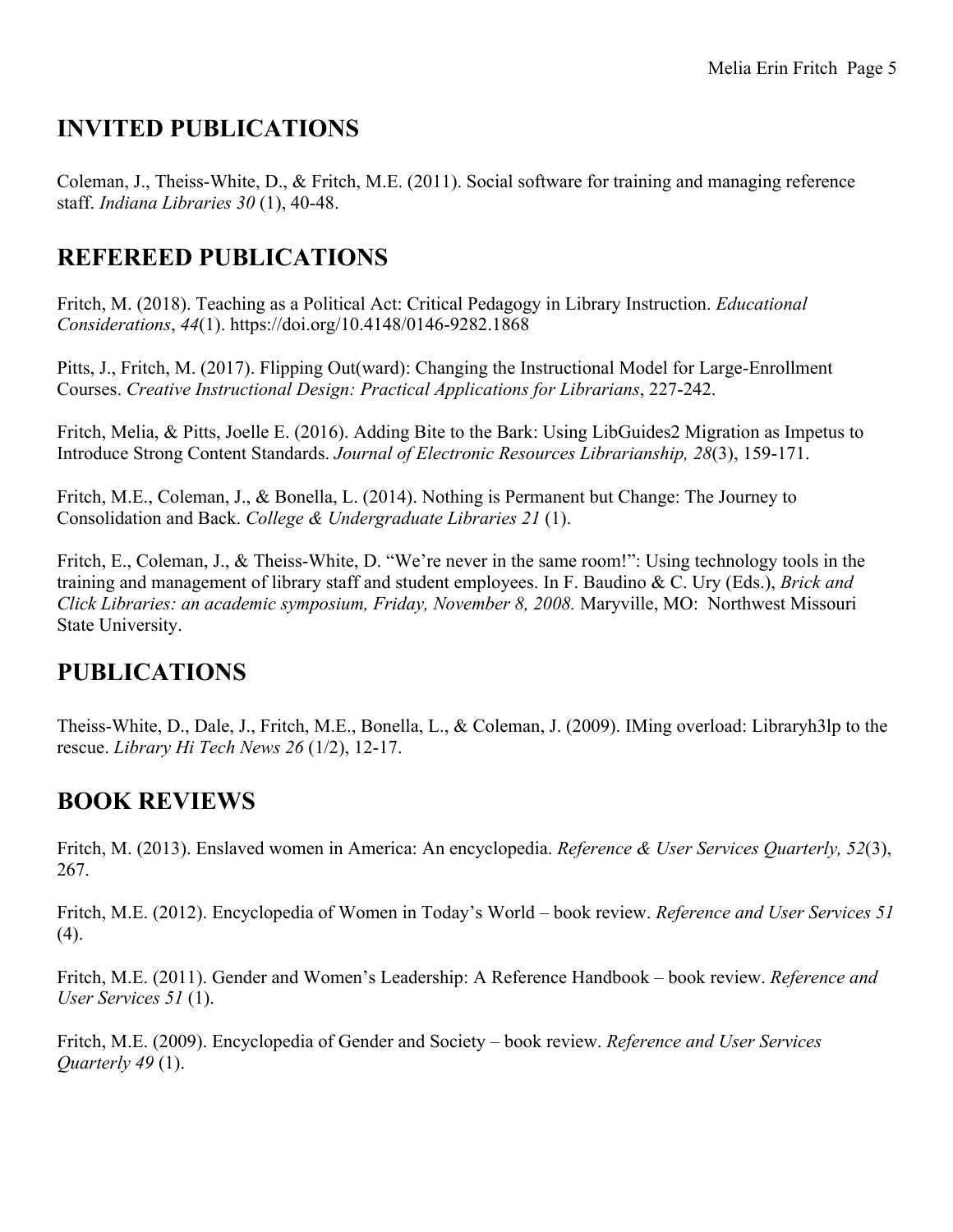# **INVITED PUBLICATIONS**

Coleman, J., Theiss-White, D., & Fritch, M.E. (2011). Social software for training and managing reference staff. *Indiana Libraries 30* (1), 40-48.

## **REFEREED PUBLICATIONS**

Fritch, M. (2018). Teaching as a Political Act: Critical Pedagogy in Library Instruction. *Educational Considerations*, *44*(1). https://doi.org/10.4148/0146-9282.1868

Pitts, J., Fritch, M. (2017). Flipping Out(ward): Changing the Instructional Model for Large-Enrollment Courses. *Creative Instructional Design: Practical Applications for Librarians*, 227-242.

Fritch, Melia, & Pitts, Joelle E. (2016). Adding Bite to the Bark: Using LibGuides2 Migration as Impetus to Introduce Strong Content Standards. *Journal of Electronic Resources Librarianship, 28*(3), 159-171.

Fritch, M.E., Coleman, J., & Bonella, L. (2014). Nothing is Permanent but Change: The Journey to Consolidation and Back. *College & Undergraduate Libraries 21* (1).

Fritch, E., Coleman, J., & Theiss-White, D. "We're never in the same room!": Using technology tools in the training and management of library staff and student employees. In F. Baudino & C. Ury (Eds.), *Brick and Click Libraries: an academic symposium, Friday, November 8, 2008.* Maryville, MO: Northwest Missouri State University.

## **PUBLICATIONS**

Theiss-White, D., Dale, J., Fritch, M.E., Bonella, L., & Coleman, J. (2009). IMing overload: Libraryh3lp to the rescue. *Library Hi Tech News 26* (1/2), 12-17.

# **BOOK REVIEWS**

Fritch, M. (2013). Enslaved women in America: An encyclopedia. *Reference & User Services Quarterly, 52*(3), 267.

Fritch, M.E. (2012). Encyclopedia of Women in Today's World – book review. *Reference and User Services 51* (4).

Fritch, M.E. (2011). Gender and Women's Leadership: A Reference Handbook – book review. *Reference and User Services 51* (1).

Fritch, M.E. (2009). Encyclopedia of Gender and Society – book review. *Reference and User Services Quarterly 49* (1).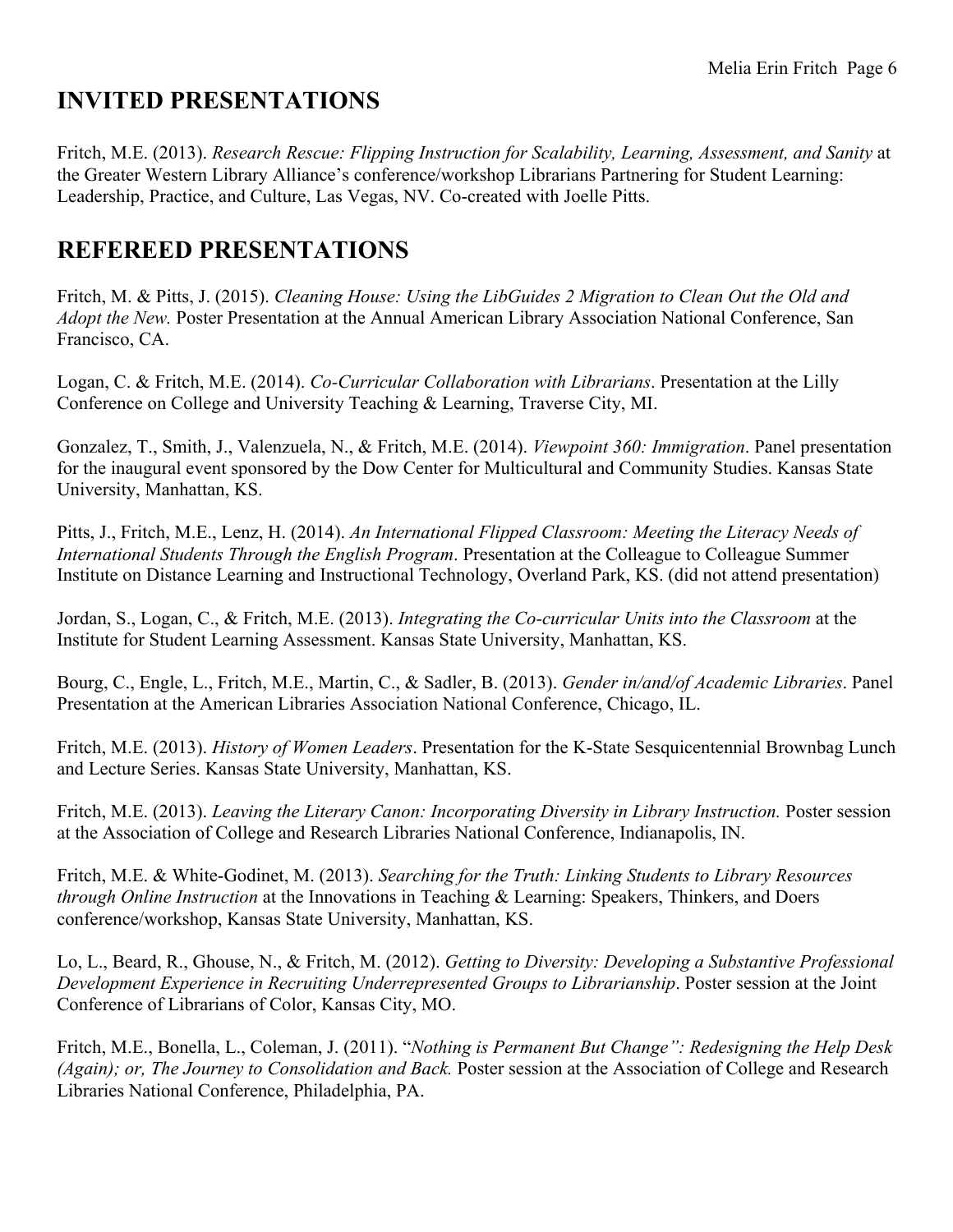# **INVITED PRESENTATIONS**

Fritch, M.E. (2013). *Research Rescue: Flipping Instruction for Scalability, Learning, Assessment, and Sanity* at the Greater Western Library Alliance's conference/workshop Librarians Partnering for Student Learning: Leadership, Practice, and Culture, Las Vegas, NV. Co-created with Joelle Pitts.

## **REFEREED PRESENTATIONS**

Fritch, M. & Pitts, J. (2015). *Cleaning House: Using the LibGuides 2 Migration to Clean Out the Old and Adopt the New.* Poster Presentation at the Annual American Library Association National Conference, San Francisco, CA.

Logan, C. & Fritch, M.E. (2014). *Co-Curricular Collaboration with Librarians*. Presentation at the Lilly Conference on College and University Teaching & Learning, Traverse City, MI.

Gonzalez, T., Smith, J., Valenzuela, N., & Fritch, M.E. (2014). *Viewpoint 360: Immigration*. Panel presentation for the inaugural event sponsored by the Dow Center for Multicultural and Community Studies. Kansas State University, Manhattan, KS.

Pitts, J., Fritch, M.E., Lenz, H. (2014). *An International Flipped Classroom: Meeting the Literacy Needs of International Students Through the English Program*. Presentation at the Colleague to Colleague Summer Institute on Distance Learning and Instructional Technology, Overland Park, KS. (did not attend presentation)

Jordan, S., Logan, C., & Fritch, M.E. (2013). *Integrating the Co-curricular Units into the Classroom* at the Institute for Student Learning Assessment. Kansas State University, Manhattan, KS.

Bourg, C., Engle, L., Fritch, M.E., Martin, C., & Sadler, B. (2013). *Gender in/and/of Academic Libraries*. Panel Presentation at the American Libraries Association National Conference, Chicago, IL.

Fritch, M.E. (2013). *History of Women Leaders*. Presentation for the K-State Sesquicentennial Brownbag Lunch and Lecture Series. Kansas State University, Manhattan, KS.

Fritch, M.E. (2013). *Leaving the Literary Canon: Incorporating Diversity in Library Instruction.* Poster session at the Association of College and Research Libraries National Conference, Indianapolis, IN.

Fritch, M.E. & White-Godinet, M. (2013). *Searching for the Truth: Linking Students to Library Resources through Online Instruction* at the Innovations in Teaching & Learning: Speakers, Thinkers, and Doers conference/workshop, Kansas State University, Manhattan, KS.

Lo, L., Beard, R., Ghouse, N., & Fritch, M. (2012). *Getting to Diversity: Developing a Substantive Professional Development Experience in Recruiting Underrepresented Groups to Librarianship*. Poster session at the Joint Conference of Librarians of Color, Kansas City, MO.

Fritch, M.E., Bonella, L., Coleman, J. (2011). "*Nothing is Permanent But Change": Redesigning the Help Desk (Again); or, The Journey to Consolidation and Back.* Poster session at the Association of College and Research Libraries National Conference, Philadelphia, PA.